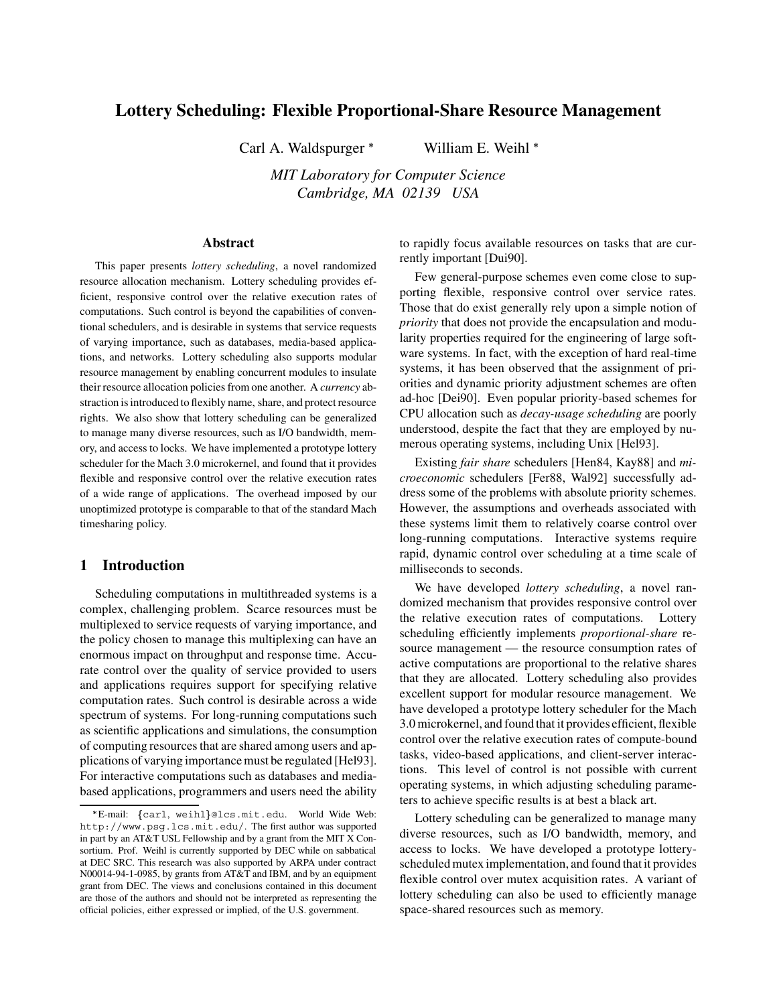# **Lottery Scheduling: Flexible Proportional-Share Resource Management**

Carl A. Waldspurger

William E. Weihl

*MIT Laboratory for Computer Science Cambridge, MA 02139 USA*

# **Abstract**

This paper presents *lottery scheduling*, a novel randomized resource allocation mechanism. Lottery scheduling provides efficient, responsive control over the relative execution rates of computations. Such control is beyond the capabilities of conventional schedulers, and is desirable in systems that service requests of varying importance, such as databases, media-based applications, and networks. Lottery scheduling also supports modular resource management by enabling concurrent modules to insulate their resource allocation policies from one another. A *currency* abstraction is introduced to flexibly name, share, and protect resource rights. We also show that lottery scheduling can be generalized to manage many diverse resources, such as I/O bandwidth, memory, and access to locks. We have implemented a prototype lottery scheduler for the Mach 3.0 microkernel, and found that it provides flexible and responsive control over the relative execution rates of a wide range of applications. The overhead imposed by our unoptimized prototype is comparable to that of the standard Mach timesharing policy.

# **1 Introduction**

Scheduling computations in multithreaded systems is a complex, challenging problem. Scarce resources must be multiplexed to service requests of varying importance, and the policy chosen to manage this multiplexing can have an enormous impact on throughput and response time. Accurate control over the quality of service provided to users and applications requires support for specifying relative computation rates. Such control is desirable across a wide spectrum of systems. For long-running computations such as scientific applications and simulations, the consumption of computing resources that are shared among users and applications of varying importance must be regulated [Hel93]. For interactive computations such as databases and mediabased applications, programmers and users need the ability to rapidly focus available resources on tasks that are currently important [Dui90].

Few general-purpose schemes even come close to supporting flexible, responsive control over service rates. Those that do exist generally rely upon a simple notion of *priority* that does not provide the encapsulation and modularity properties required for the engineering of large software systems. In fact, with the exception of hard real-time systems, it has been observed that the assignment of priorities and dynamic priority adjustment schemes are often ad-hoc [Dei90]. Even popular priority-based schemes for CPU allocation such as *decay-usage scheduling* are poorly understood, despite the fact that they are employed by numerous operating systems, including Unix [Hel93].

Existing *fair share* schedulers [Hen84, Kay88] and *microeconomic* schedulers [Fer88, Wal92] successfully address some of the problems with absolute priority schemes. However, the assumptions and overheads associated with these systems limit them to relatively coarse control over long-running computations. Interactive systems require rapid, dynamic control over scheduling at a time scale of milliseconds to seconds.

We have developed *lottery scheduling*, a novel randomized mechanism that provides responsive control over the relative execution rates of computations. Lottery scheduling efficiently implements *proportional-share* resource management — the resource consumption rates of active computations are proportional to the relative shares that they are allocated. Lottery scheduling also provides excellent support for modular resource management. We have developed a prototype lottery scheduler for the Mach 3.0 microkernel, and found that it provides efficient, flexible control over the relative execution rates of compute-bound tasks, video-based applications, and client-server interactions. This level of control is not possible with current operating systems, in which adjusting scheduling parameters to achieve specific results is at best a black art.

Lottery scheduling can be generalized to manage many diverse resources, such as I/O bandwidth, memory, and access to locks. We have developed a prototype lotteryscheduled mutex implementation, and found that it provides flexible control over mutex acquisition rates. A variant of lottery scheduling can also be used to efficiently manage space-shared resources such as memory.

E-mail: fcarl, weihlg@lcs.mit.edu. World Wide Web: http://www.psg.lcs.mit.edu/. The first author was supported in part by an AT&T USL Fellowship and by a grant from the MIT X Consortium. Prof. Weihl is currently supported by DEC while on sabbatical at DEC SRC. This research was also supported by ARPA under contract N00014-94-1-0985, by grants from AT&T and IBM, and by an equipment grant from DEC. The views and conclusions contained in this document are those of the authors and should not be interpreted as representing the official policies, either expressed or implied, of the U.S. government.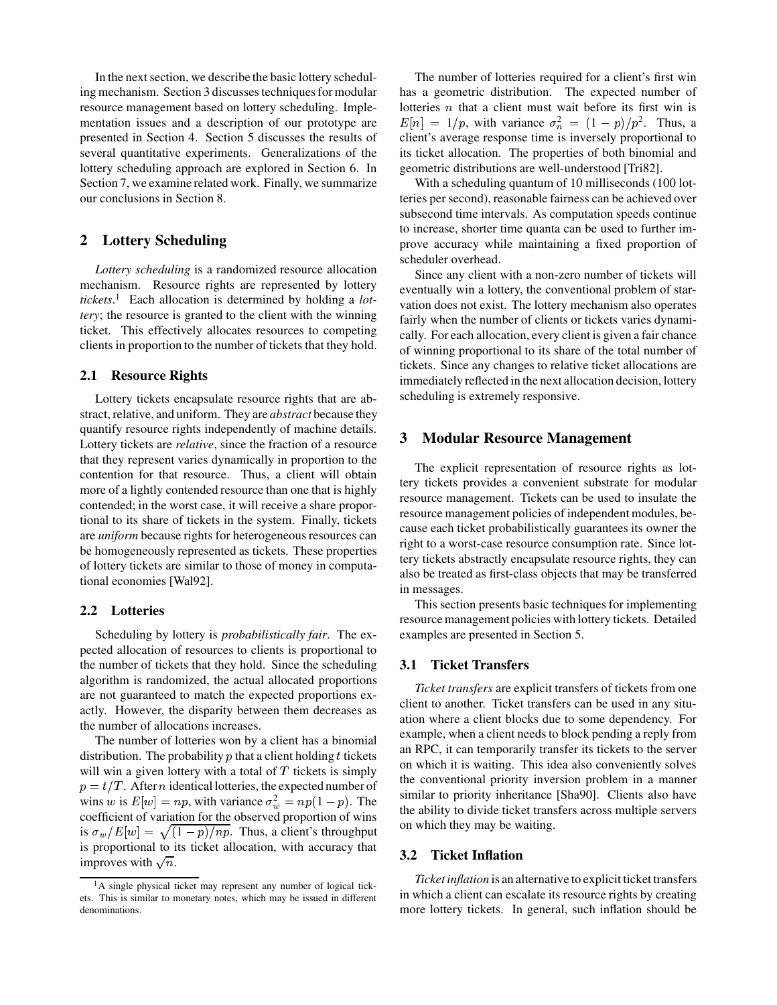In the next section, we describe the basic lottery scheduling mechanism. Section 3 discusses techniques for modular resource management based on lottery scheduling. Implementation issues and a description of our prototype are presented in Section 4. Section 5 discusses the results of several quantitative experiments. Generalizations of the lottery scheduling approach are explored in Section 6. In Section 7, we examine related work. Finally, we summarize our conclusions in Section 8.

# **2 Lottery Scheduling**

*Lottery scheduling* is a randomized resource allocation mechanism. Resource rights are represented by lottery *tickets*. <sup>1</sup> Each allocation is determined by holding a *lottery*; the resource is granted to the client with the winning ticket. This effectively allocates resources to competing clients in proportion to the number of tickets that they hold.

#### **2.1 Resource Rights**

Lottery tickets encapsulate resource rights that are abstract, relative, and uniform. They are *abstract* because they quantify resource rights independently of machine details. Lottery tickets are *relative*, since the fraction of a resource that they represent varies dynamically in proportion to the contention for that resource. Thus, a client will obtain more of a lightly contended resource than one that is highly contended; in the worst case, it will receive a share proportional to its share of tickets in the system. Finally, tickets are *uniform* because rights for heterogeneous resources can be homogeneously represented as tickets. These properties of lottery tickets are similar to those of money in computational economies [Wal92].

#### **2.2 Lotteries**

Scheduling by lottery is *probabilistically fair*. The expected allocation of resources to clients is proportional to the number of tickets that they hold. Since the scheduling algorithm is randomized, the actual allocated proportions are not guaranteed to match the expected proportions exactly. However, the disparity between them decreases as the number of allocations increases.

The number of lotteries won by a client has a binomial distribution. The probability  $p$  that a client holding  $t$  tickets will win a given lottery with a total of  $T$  tickets is simply  $p = t/T$ . After *n* identical lotteries, the expected number of wins w is  $E[w] = np$ , with variance  $\sigma_w^2 = np(1-p)$ . The coefficient of variation for the observed proportion of wins is  $\sigma_w/E[w] = \sqrt{(1-p)/np}$ . Thus, a client's throughput is proportional to its ticket allocation, with accuracy that improves with  $\sqrt{n}$ .

The number of lotteries required for a client's first win has a geometric distribution. The expected number of lotteries  $n$  that a client must wait before its first win is  $E[n] = 1/p$ , with variance  $\sigma_n^2 = (1 - p)/p^2$ . Thus, a client's average response time is inversely proportional to its ticket allocation. The properties of both binomial and geometric distributions are well-understood [Tri82].

With a scheduling quantum of 10 milliseconds (100 lotteries per second), reasonable fairness can be achieved over subsecond time intervals. As computation speeds continue to increase, shorter time quanta can be used to further improve accuracy while maintaining a fixed proportion of scheduler overhead.

Since any client with a non-zero number of tickets will eventually win a lottery, the conventional problem of starvation does not exist. The lottery mechanism also operates fairly when the number of clients or tickets varies dynamically. For each allocation, every client is given a fair chance of winning proportional to its share of the total number of tickets. Since any changes to relative ticket allocations are immediately reflected in the next allocation decision, lottery scheduling is extremely responsive.

# **3 Modular Resource Management**

The explicit representation of resource rights as lottery tickets provides a convenient substrate for modular resource management. Tickets can be used to insulate the resource management policies of independent modules, because each ticket probabilistically guarantees its owner the right to a worst-case resource consumption rate. Since lottery tickets abstractly encapsulate resource rights, they can also be treated as first-class objects that may be transferred in messages.

This section presents basic techniques for implementing resource management policies with lottery tickets. Detailed examples are presented in Section 5.

#### **3.1 Ticket Transfers**

*Ticket transfers* are explicit transfers of tickets from one client to another. Ticket transfers can be used in any situation where a client blocks due to some dependency. For example, when a client needs to block pending a reply from an RPC, it can temporarily transfer its tickets to the server on which it is waiting. This idea also conveniently solves the conventional priority inversion problem in a manner similar to priority inheritance [Sha90]. Clients also have the ability to divide ticket transfers across multiple servers on which they may be waiting.

#### **3.2 Ticket Inflation**

*Ticket inflation* is an alternative to explicit ticket transfers in which a client can escalate its resource rights by creating more lottery tickets. In general, such inflation should be

<sup>&</sup>lt;sup>1</sup>A single physical ticket may represent any number of logical tickets. This is similar to monetary notes, which may be issued in different denominations.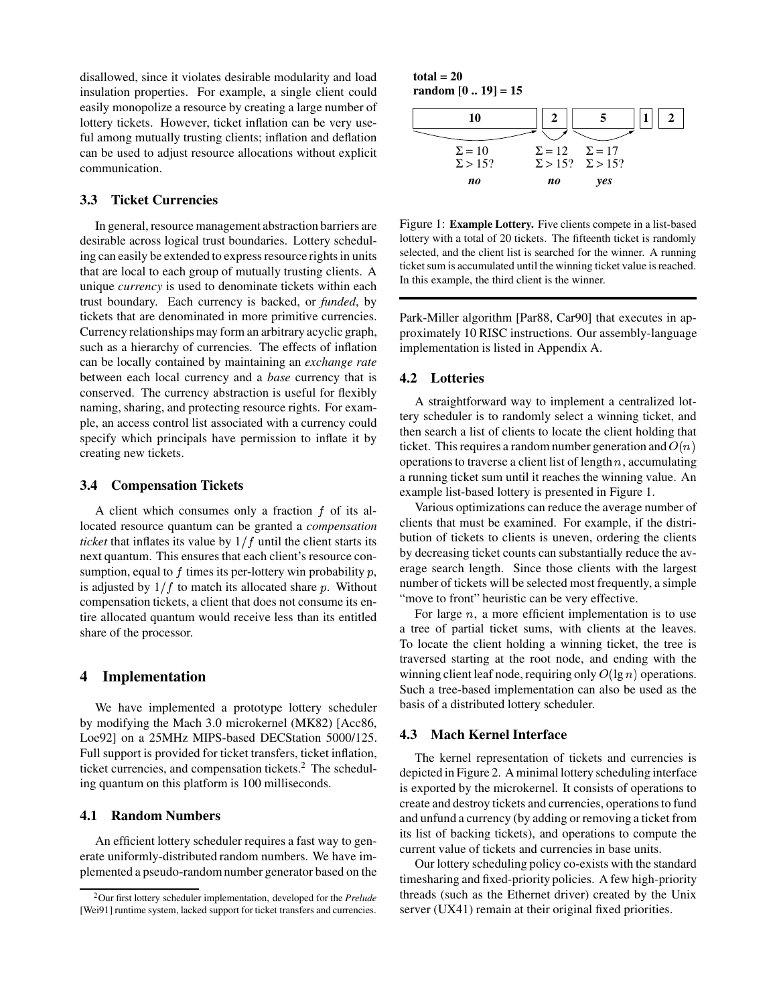disallowed, since it violates desirable modularity and load insulation properties. For example, a single client could easily monopolize a resource by creating a large number of lottery tickets. However, ticket inflation can be very useful among mutually trusting clients; inflation and deflation can be used to adjust resource allocations without explicit communication.

#### **3.3 Ticket Currencies**

In general, resource management abstraction barriers are desirable across logical trust boundaries. Lottery scheduling can easily be extended to express resource rights in units that are local to each group of mutually trusting clients. A unique *currency* is used to denominate tickets within each trust boundary. Each currency is backed, or *funded*, by tickets that are denominated in more primitive currencies. Currency relationships may form an arbitrary acyclic graph, such as a hierarchy of currencies. The effects of inflation can be locally contained by maintaining an *exchange rate* between each local currency and a *base* currency that is conserved. The currency abstraction is useful for flexibly naming, sharing, and protecting resource rights. For example, an access control list associated with a currency could specify which principals have permission to inflate it by creating new tickets.

#### **3.4 Compensation Tickets**

A client which consumes only a fraction  $f$  of its allocated resource quantum can be granted a *compensation ticket* that inflates its value by  $1/f$  until the client starts its next quantum. This ensures that each client's resource consumption, equal to  $f$  times its per-lottery win probability  $p$ , is adjusted by  $1/f$  to match its allocated share p. Without compensation tickets, a client that does not consume its entire allocated quantum would receive less than its entitled share of the processor.

# **4 Implementation**

We have implemented a prototype lottery scheduler by modifying the Mach 3.0 microkernel (MK82) [Acc86, Loe92] on a 25MHz MIPS-based DECStation 5000/125. Full support is provided for ticket transfers, ticket inflation, ticket currencies, and compensation tickets.<sup>2</sup> The scheduling quantum on this platform is 100 milliseconds.

# **4.1 Random Numbers**

An efficient lottery scheduler requires a fast way to generate uniformly-distributed random numbers. We have implemented a pseudo-random number generator based on the





Figure 1: **Example Lottery.** Five clients compete in a list-based lottery with a total of 20 tickets. The fifteenth ticket is randomly selected, and the client list is searched for the winner. A running ticket sum is accumulated until the winning ticket value is reached. In this example, the third client is the winner.

Park-Miller algorithm [Par88, Car90] that executes in approximately 10 RISC instructions. Our assembly-language implementation is listed in Appendix A.

#### **4.2 Lotteries**

A straightforward way to implement a centralized lottery scheduler is to randomly select a winning ticket, and then search a list of clients to locate the client holding that ticket. This requires a random number generation and  $O(n)$ operations to traverse a client list of length  $n$ , accumulating a running ticket sum until it reaches the winning value. An example list-based lottery is presented in Figure 1.

Various optimizations can reduce the average number of clients that must be examined. For example, if the distribution of tickets to clients is uneven, ordering the clients by decreasing ticket counts can substantially reduce the average search length. Since those clients with the largest number of tickets will be selected most frequently, a simple "move to front" heuristic can be very effective.

For large  $n$ , a more efficient implementation is to use a tree of partial ticket sums, with clients at the leaves. To locate the client holding a winning ticket, the tree is traversed starting at the root node, and ending with the winning client leaf node, requiring only  $O(\lg n)$  operations. Such a tree-based implementation can also be used as the basis of a distributed lottery scheduler.

# **4.3 Mach Kernel Interface**

The kernel representation of tickets and currencies is depicted in Figure 2. A minimal lottery scheduling interface is exported by the microkernel. It consists of operations to create and destroy tickets and currencies, operations to fund and unfund a currency (by adding or removing a ticket from its list of backing tickets), and operations to compute the current value of tickets and currencies in base units.

Our lottery scheduling policy co-exists with the standard timesharing and fixed-priority policies. A few high-priority threads (such as the Ethernet driver) created by the Unix server (UX41) remain at their original fixed priorities.

<sup>2</sup>Our first lottery scheduler implementation, developed for the *Prelude* [Wei91] runtime system, lacked support for ticket transfers and currencies.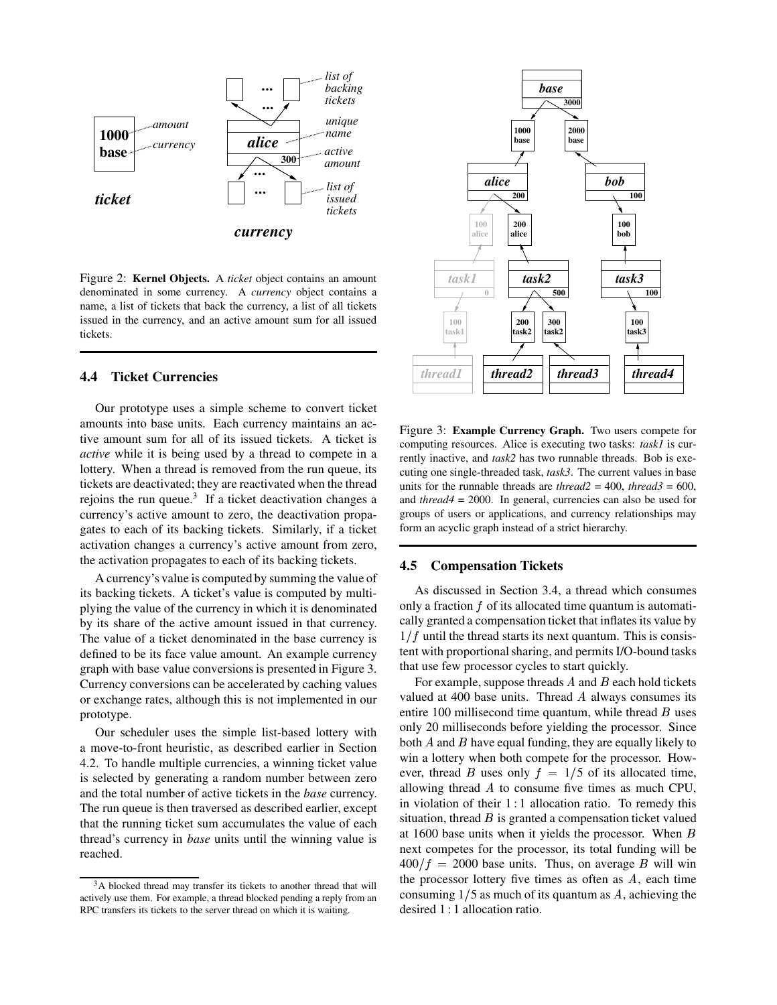

Figure 2: **Kernel Objects.** A *ticket* object contains an amount denominated in some currency. A *currency* object contains a name, a list of tickets that back the currency, a list of all tickets issued in the currency, and an active amount sum for all issued tickets.

# **4.4 Ticket Currencies**

Our prototype uses a simple scheme to convert ticket amounts into base units. Each currency maintains an active amount sum for all of its issued tickets. A ticket is *active* while it is being used by a thread to compete in a lottery. When a thread is removed from the run queue, its tickets are deactivated; they are reactivated when the thread rejoins the run queue.<sup>3</sup> If a ticket deactivation changes a currency's active amount to zero, the deactivation propagates to each of its backing tickets. Similarly, if a ticket activation changes a currency's active amount from zero, the activation propagates to each of its backing tickets.

A currency's value is computed by summing the value of its backing tickets. A ticket's value is computed by multiplying the value of the currency in which it is denominated by its share of the active amount issued in that currency. The value of a ticket denominated in the base currency is defined to be its face value amount. An example currency graph with base value conversions is presented in Figure 3. Currency conversions can be accelerated by caching values or exchange rates, although this is not implemented in our prototype.

Our scheduler uses the simple list-based lottery with a move-to-front heuristic, as described earlier in Section 4.2. To handle multiple currencies, a winning ticket value is selected by generating a random number between zero and the total number of active tickets in the *base* currency. The run queue is then traversed as described earlier, except that the running ticket sum accumulates the value of each thread's currency in *base* units until the winning value is reached.



Figure 3: **Example Currency Graph.** Two users compete for computing resources. Alice is executing two tasks: *task1* is currently inactive, and *task2* has two runnable threads. Bob is executing one single-threaded task, *task3*. The current values in base units for the runnable threads are *thread* $2 = 400$ , *thread* $3 = 600$ , and *thread4* = 2000. In general, currencies can also be used for groups of users or applications, and currency relationships may form an acyclic graph instead of a strict hierarchy.

#### **4.5 Compensation Tickets**

As discussed in Section 3.4, a thread which consumes only a fraction  $f$  of its allocated time quantum is automatically granted a compensation ticket that inflates its value by  $1/f$  until the thread starts its next quantum. This is consistent with proportional sharing, and permits I/O-bound tasks that use few processor cycles to start quickly.

For example, suppose threads  $A$  and  $B$  each hold tickets valued at 400 base units. Thread  $A$  always consumes its entire 100 millisecond time quantum, while thread  $B$  uses only 20 milliseconds before yielding the processor. Since both  $A$  and  $B$  have equal funding, they are equally likely to win a lottery when both compete for the processor. However, thread B uses only  $f = 1/5$  of its allocated time, allowing thread A to consume five times as much CPU, in violation of their 1 : 1 allocation ratio. To remedy this situation, thread  $B$  is granted a compensation ticket valued at 1600 base units when it yields the processor. When B next competes for the processor, its total funding will be  $400/f = 2000$  base units. Thus, on average B will win the processor lottery five times as often as  $A$ , each time consuming  $1/5$  as much of its quantum as A, achieving the desired 1 : 1 allocation ratio.

<sup>&</sup>lt;sup>3</sup>A blocked thread may transfer its tickets to another thread that will actively use them. For example, a thread blocked pending a reply from an RPC transfers its tickets to the server thread on which it is waiting.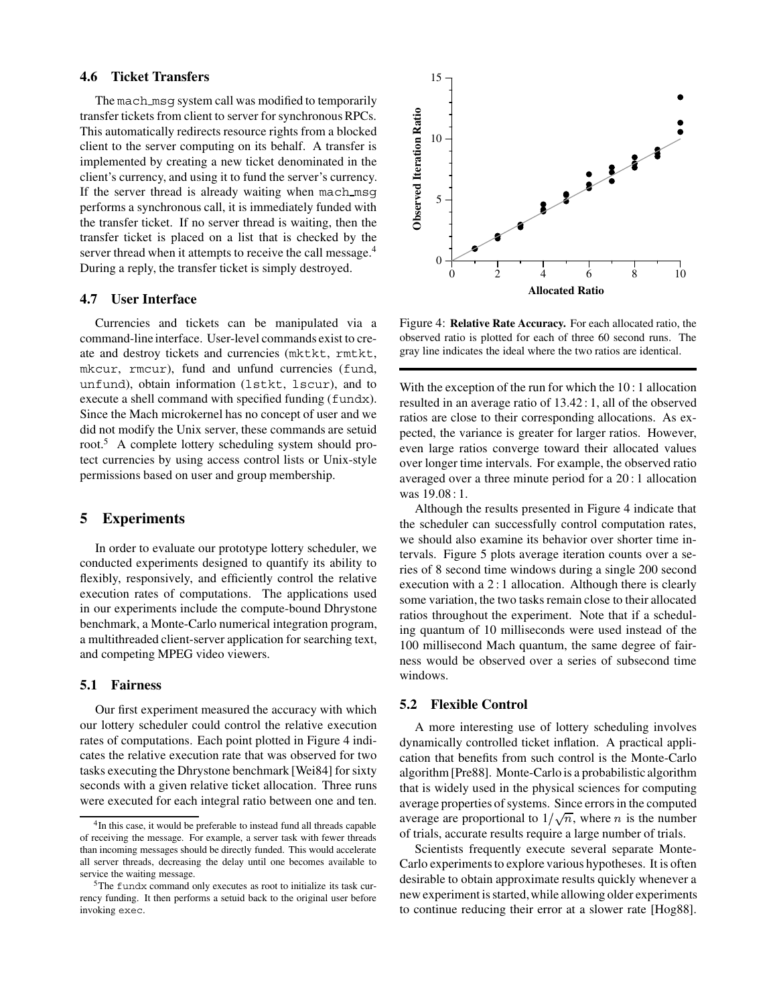## **4.6 Ticket Transfers**

The mach msg system call was modified to temporarily transfer tickets from client to server for synchronous RPCs. This automatically redirects resource rights from a blocked client to the server computing on its behalf. A transfer is implemented by creating a new ticket denominated in the client's currency, and using it to fund the server's currency. If the server thread is already waiting when mach msg performs a synchronous call, it is immediately funded with the transfer ticket. If no server thread is waiting, then the transfer ticket is placed on a list that is checked by the server thread when it attempts to receive the call message.<sup>4</sup> During a reply, the transfer ticket is simply destroyed.

# **4.7 User Interface**

Currencies and tickets can be manipulated via a command-line interface. User-level commands exist to create and destroy tickets and currencies (mktkt, rmtkt, mkcur, rmcur), fund and unfund currencies (fund, unfund), obtain information (lstkt, lscur), and to execute a shell command with specified funding (fundx). Since the Mach microkernel has no concept of user and we did not modify the Unix server, these commands are setuid root.<sup>5</sup> A complete lottery scheduling system should protect currencies by using access control lists or Unix-style permissions based on user and group membership.

# **5 Experiments**

In order to evaluate our prototype lottery scheduler, we conducted experiments designed to quantify its ability to flexibly, responsively, and efficiently control the relative execution rates of computations. The applications used in our experiments include the compute-bound Dhrystone benchmark, a Monte-Carlo numerical integration program, a multithreaded client-server application for searching text, and competing MPEG video viewers.

#### **5.1 Fairness**

Our first experiment measured the accuracy with which our lottery scheduler could control the relative execution rates of computations. Each point plotted in Figure 4 indicates the relative execution rate that was observed for two tasks executing the Dhrystone benchmark [Wei84] for sixty seconds with a given relative ticket allocation. Three runs were executed for each integral ratio between one and ten.



Figure 4: **Relative Rate Accuracy.** For each allocated ratio, the observed ratio is plotted for each of three 60 second runs. The gray line indicates the ideal where the two ratios are identical.

With the exception of the run for which the 10:1 allocation resulted in an average ratio of 13.42 : 1, all of the observed ratios are close to their corresponding allocations. As expected, the variance is greater for larger ratios. However, even large ratios converge toward their allocated values over longer time intervals. For example, the observed ratio averaged over a three minute period for a 20 : 1 allocation was 19.08 : 1.

Although the results presented in Figure 4 indicate that the scheduler can successfully control computation rates, we should also examine its behavior over shorter time intervals. Figure 5 plots average iteration counts over a series of 8 second time windows during a single 200 second execution with a 2:1 allocation. Although there is clearly some variation, the two tasks remain close to their allocated ratios throughout the experiment. Note that if a scheduling quantum of 10 milliseconds were used instead of the 100 millisecond Mach quantum, the same degree of fairness would be observed over a series of subsecond time windows.

# **5.2 Flexible Control**

A more interesting use of lottery scheduling involves dynamically controlled ticket inflation. A practical application that benefits from such control is the Monte-Carlo algorithm [Pre88]. Monte-Carlo is a probabilistic algorithm that is widely used in the physical sciences for computing average properties of systems. Since errors in the computed average are proportional to  $1/\sqrt{n}$ , where *n* is the number of trials, accurate results require a large number of trials.

Scientists frequently execute several separate Monte-Carlo experiments to explore various hypotheses. It is often desirable to obtain approximate results quickly whenever a new experiment is started,while allowing older experiments to continue reducing their error at a slower rate [Hog88].

<sup>&</sup>lt;sup>4</sup>In this case, it would be preferable to instead fund all threads capable of receiving the message. For example, a server task with fewer threads than incoming messages should be directly funded. This would accelerate all server threads, decreasing the delay until one becomes available to service the waiting message.

<sup>&</sup>lt;sup>5</sup>The fundx command only executes as root to initialize its task currency funding. It then performs a setuid back to the original user before invoking exec.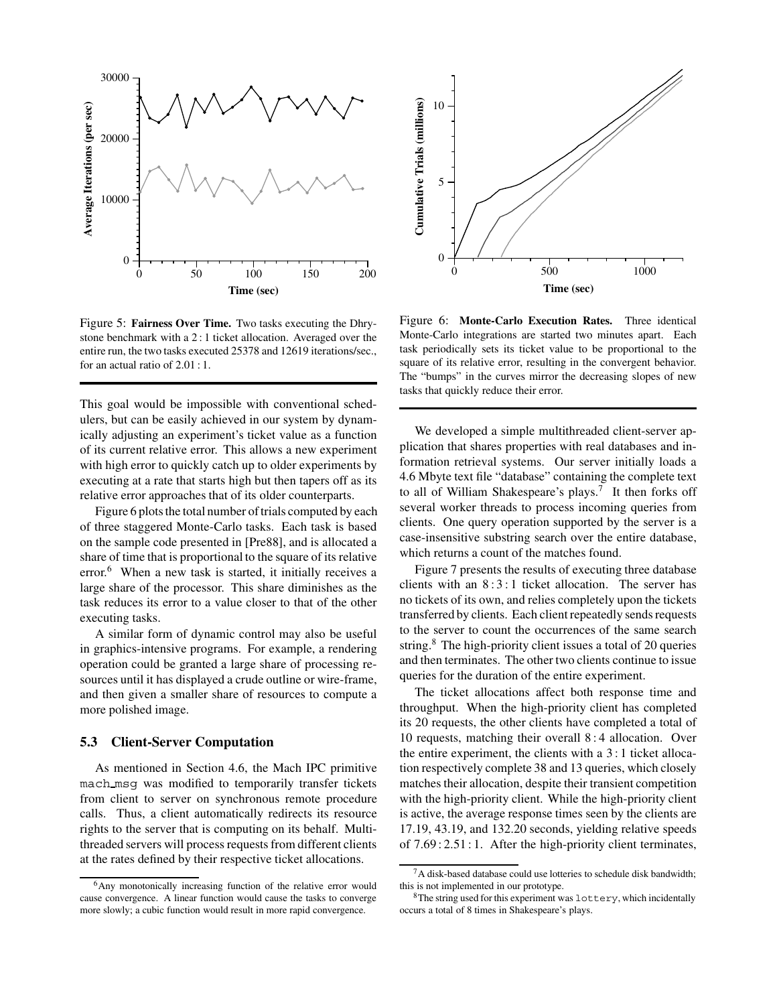

Figure 5: **Fairness Over Time.** Two tasks executing the Dhrystone benchmark with a 2 : 1 ticket allocation. Averaged over the entire run, the two tasks executed 25378 and 12619 iterations/sec., for an actual ratio of 2.01 : 1.

This goal would be impossible with conventional schedulers, but can be easily achieved in our system by dynamically adjusting an experiment's ticket value as a function of its current relative error. This allows a new experiment with high error to quickly catch up to older experiments by executing at a rate that starts high but then tapers off as its relative error approaches that of its older counterparts.

Figure 6 plots the total number of trials computed by each of three staggered Monte-Carlo tasks. Each task is based on the sample code presented in [Pre88], and is allocated a share of time that is proportional to the square of its relative error.<sup>6</sup> When a new task is started, it initially receives a large share of the processor. This share diminishes as the task reduces its error to a value closer to that of the other executing tasks.

A similar form of dynamic control may also be useful in graphics-intensive programs. For example, a rendering operation could be granted a large share of processing resources until it has displayed a crude outline or wire-frame, and then given a smaller share of resources to compute a more polished image.

#### **5.3 Client-Server Computation**

As mentioned in Section 4.6, the Mach IPC primitive mach msg was modified to temporarily transfer tickets from client to server on synchronous remote procedure calls. Thus, a client automatically redirects its resource rights to the server that is computing on its behalf. Multithreaded servers will process requests from different clients at the rates defined by their respective ticket allocations.



Figure 6: **Monte-Carlo Execution Rates.** Three identical Monte-Carlo integrations are started two minutes apart. Each task periodically sets its ticket value to be proportional to the square of its relative error, resulting in the convergent behavior. The "bumps" in the curves mirror the decreasing slopes of new tasks that quickly reduce their error.

We developed a simple multithreaded client-server application that shares properties with real databases and information retrieval systems. Our server initially loads a 4.6 Mbyte text file "database" containing the complete text to all of William Shakespeare's plays.<sup>7</sup> It then forks off several worker threads to process incoming queries from clients. One query operation supported by the server is a case-insensitive substring search over the entire database, which returns a count of the matches found.

Figure 7 presents the results of executing three database clients with an  $8:3:1$  ticket allocation. The server has no tickets of its own, and relies completely upon the tickets transferred by clients. Each client repeatedly sends requests to the server to count the occurrences of the same search string.<sup>8</sup> The high-priority client issues a total of 20 queries and then terminates. The other two clients continue to issue queries for the duration of the entire experiment.

The ticket allocations affect both response time and throughput. When the high-priority client has completed its 20 requests, the other clients have completed a total of 10 requests, matching their overall 8 : 4 allocation. Over the entire experiment, the clients with a 3 : 1 ticket allocation respectively complete 38 and 13 queries, which closely matches their allocation, despite their transient competition with the high-priority client. While the high-priority client is active, the average response times seen by the clients are 17.19, 43.19, and 132.20 seconds, yielding relative speeds of 7.69 : 2.51 : 1. After the high-priority client terminates,

<sup>6</sup>Any monotonically increasing function of the relative error would cause convergence. A linear function would cause the tasks to converge more slowly; a cubic function would result in more rapid convergence.

 ${}^{7}$ A disk-based database could use lotteries to schedule disk bandwidth; this is not implemented in our prototype.

 $8$ The string used for this experiment was lottery, which incidentally occurs a total of 8 times in Shakespeare's plays.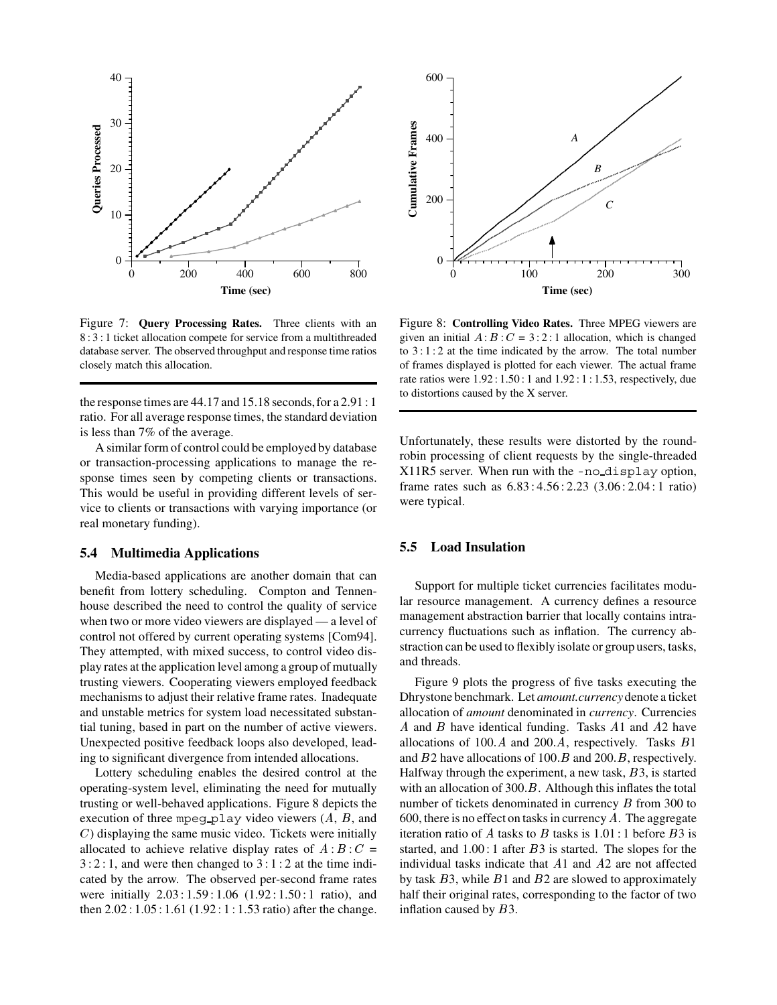

Figure 7: **Query Processing Rates.** Three clients with an 8 : 3 : 1 ticket allocation compete for service from a multithreaded database server. The observed throughput and response time ratios closely match this allocation.

the response times are 44.17 and 15.18 seconds,for a 2.91 : 1 ratio. For all average response times, the standard deviation is less than 7% of the average.

A similar form of control could be employed by database or transaction-processing applications to manage the response times seen by competing clients or transactions. This would be useful in providing different levels of service to clients or transactions with varying importance (or real monetary funding).

#### **5.4 Multimedia Applications**

Media-based applications are another domain that can benefit from lottery scheduling. Compton and Tennenhouse described the need to control the quality of service when two or more video viewers are displayed — a level of control not offered by current operating systems [Com94]. They attempted, with mixed success, to control video display rates at the application level among a group of mutually trusting viewers. Cooperating viewers employed feedback mechanisms to adjust their relative frame rates. Inadequate and unstable metrics for system load necessitated substantial tuning, based in part on the number of active viewers. Unexpected positive feedback loops also developed, leading to significant divergence from intended allocations.

Lottery scheduling enables the desired control at the operating-system level, eliminating the need for mutually trusting or well-behaved applications. Figure 8 depicts the execution of three mpeg play video viewers  $(A, B, \text{ and})$  $C$ ) displaying the same music video. Tickets were initially allocated to achieve relative display rates of  $A : B : C =$ 3 : 2 : 1, and were then changed to 3 : 1 : 2 at the time indicated by the arrow. The observed per-second frame rates were initially  $2.03:1.59:1.06$  (1.92:1.50:1 ratio), and then 2.02 : 1.05 : 1.61 (1.92 : 1 : 1.53 ratio) after the change.



Figure 8: **Controlling Video Rates.** Three MPEG viewers are given an initial  $A : B : C = 3 : 2 : 1$  allocation, which is changed to  $3:1:2$  at the time indicated by the arrow. The total number of frames displayed is plotted for each viewer. The actual frame rate ratios were 1.92 : 1.50 : 1 and 1.92 : 1 : 1.53, respectively, due to distortions caused by the X server.

Unfortunately, these results were distorted by the roundrobin processing of client requests by the single-threaded X11R5 server. When run with the -no display option, frame rates such as 6.83 : 4.56 : 2.23 (3.06 : 2.04 : 1 ratio) were typical.

# **5.5 Load Insulation**

Support for multiple ticket currencies facilitates modular resource management. A currency defines a resource management abstraction barrier that locally contains intracurrency fluctuations such as inflation. The currency abstraction can be used to flexibly isolate or group users, tasks, and threads.

Figure 9 plots the progress of five tasks executing the Dhrystone benchmark. Let *amount.currency* denote a ticket allocation of *amount* denominated in *currency*. Currencies A and B have identical funding. Tasks A1 and A2 have allocations of 100  $\AA$  and 200  $\AA$ , respectively. Tasks  $B1$ and  $B2$  have allocations of 100.  $B$  and 200.  $B$ , respectively. Halfway through the experiment, a new task,  $B3$ , is started with an allocation of  $300.B$ . Although this inflates the total number of tickets denominated in currency B from 300 to 600, there is no effect on tasks in currency  $A$ . The aggregate iteration ratio of A tasks to B tasks is  $1.01:1$  before B3 is started, and  $1.00:1$  after  $B3$  is started. The slopes for the individual tasks indicate that A1 and A2 are not affected by task  $B3$ , while  $B1$  and  $B2$  are slowed to approximately half their original rates, corresponding to the factor of two inflation caused by <sup>B</sup>3.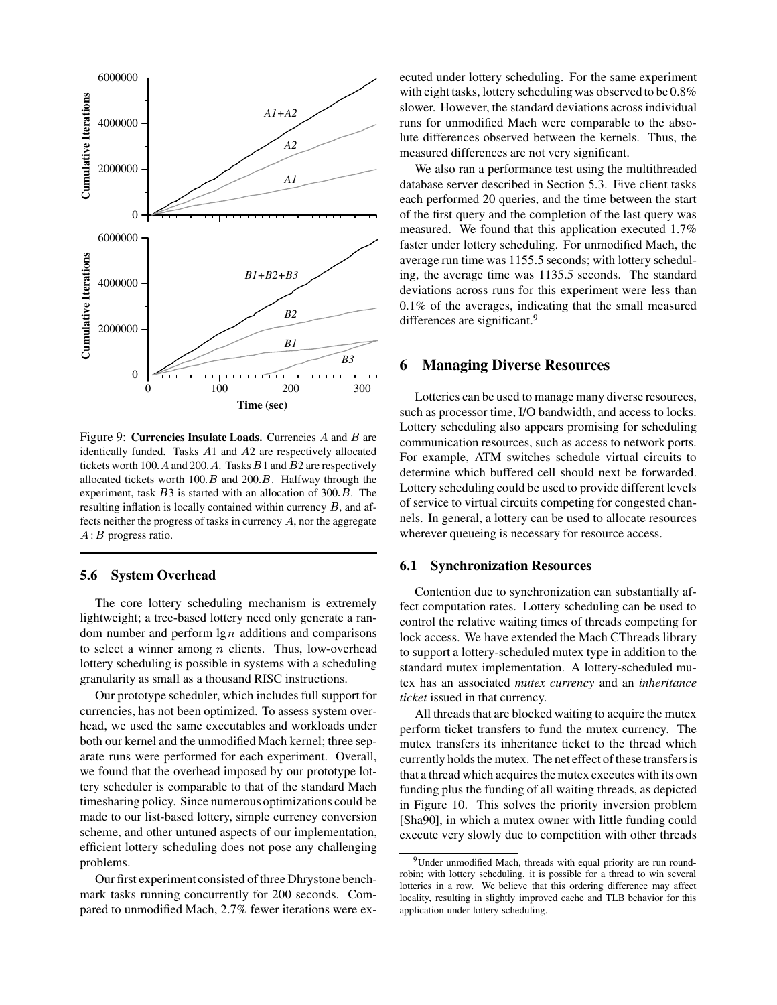

Figure 9: **Currencies Insulate Loads.** Currencies A and B are identically funded. Tasks <sup>A</sup>1 and <sup>A</sup>2 are respectively allocated tickets worth 100. A and 200. A. Tasks  $B1$  and  $B2$  are respectively allocated tickets worth  $100.B$  and  $200.B$ . Halfway through the experiment, task  $B3$  is started with an allocation of 300  $B$ . The resulting inflation is locally contained within currency <sup>B</sup>, and affects neither the progress of tasks in currency <sup>A</sup>, nor the aggregate  $A: B$  progress ratio.

#### **5.6 System Overhead**

The core lottery scheduling mechanism is extremely lightweight; a tree-based lottery need only generate a random number and perform  $\lg n$  additions and comparisons to select a winner among  $n$  clients. Thus, low-overhead lottery scheduling is possible in systems with a scheduling granularity as small as a thousand RISC instructions.

Our prototype scheduler, which includes full support for currencies, has not been optimized. To assess system overhead, we used the same executables and workloads under both our kernel and the unmodified Mach kernel; three separate runs were performed for each experiment. Overall, we found that the overhead imposed by our prototype lottery scheduler is comparable to that of the standard Mach timesharing policy. Since numerous optimizations could be made to our list-based lottery, simple currency conversion scheme, and other untuned aspects of our implementation, efficient lottery scheduling does not pose any challenging problems.

Our first experiment consisted of three Dhrystone benchmark tasks running concurrently for 200 seconds. Compared to unmodified Mach, 2.7% fewer iterations were executed under lottery scheduling. For the same experiment with eight tasks, lottery scheduling was observed to be 0.8% slower. However, the standard deviations across individual runs for unmodified Mach were comparable to the absolute differences observed between the kernels. Thus, the measured differences are not very significant.

We also ran a performance test using the multithreaded database server described in Section 5.3. Five client tasks each performed 20 queries, and the time between the start of the first query and the completion of the last query was measured. We found that this application executed 1.7% faster under lottery scheduling. For unmodified Mach, the average run time was 1155.5 seconds; with lottery scheduling, the average time was 1135.5 seconds. The standard deviations across runs for this experiment were less than 0.1% of the averages, indicating that the small measured differences are significant.<sup>9</sup>

# **6 Managing Diverse Resources**

Lotteries can be used to manage many diverse resources, such as processor time, I/O bandwidth, and access to locks. Lottery scheduling also appears promising for scheduling communication resources, such as access to network ports. For example, ATM switches schedule virtual circuits to determine which buffered cell should next be forwarded. Lottery scheduling could be used to provide different levels of service to virtual circuits competing for congested channels. In general, a lottery can be used to allocate resources wherever queueing is necessary for resource access.

#### **6.1 Synchronization Resources**

Contention due to synchronization can substantially affect computation rates. Lottery scheduling can be used to control the relative waiting times of threads competing for lock access. We have extended the Mach CThreads library to support a lottery-scheduled mutex type in addition to the standard mutex implementation. A lottery-scheduled mutex has an associated *mutex currency* and an *inheritance ticket* issued in that currency.

All threads that are blocked waiting to acquire the mutex perform ticket transfers to fund the mutex currency. The mutex transfers its inheritance ticket to the thread which currently holds the mutex. The net effect of these transfers is that a thread which acquires the mutex executes with its own funding plus the funding of all waiting threads, as depicted in Figure 10. This solves the priority inversion problem [Sha90], in which a mutex owner with little funding could execute very slowly due to competition with other threads

<sup>9</sup>Under unmodified Mach, threads with equal priority are run roundrobin; with lottery scheduling, it is possible for a thread to win several lotteries in a row. We believe that this ordering difference may affect locality, resulting in slightly improved cache and TLB behavior for this application under lottery scheduling.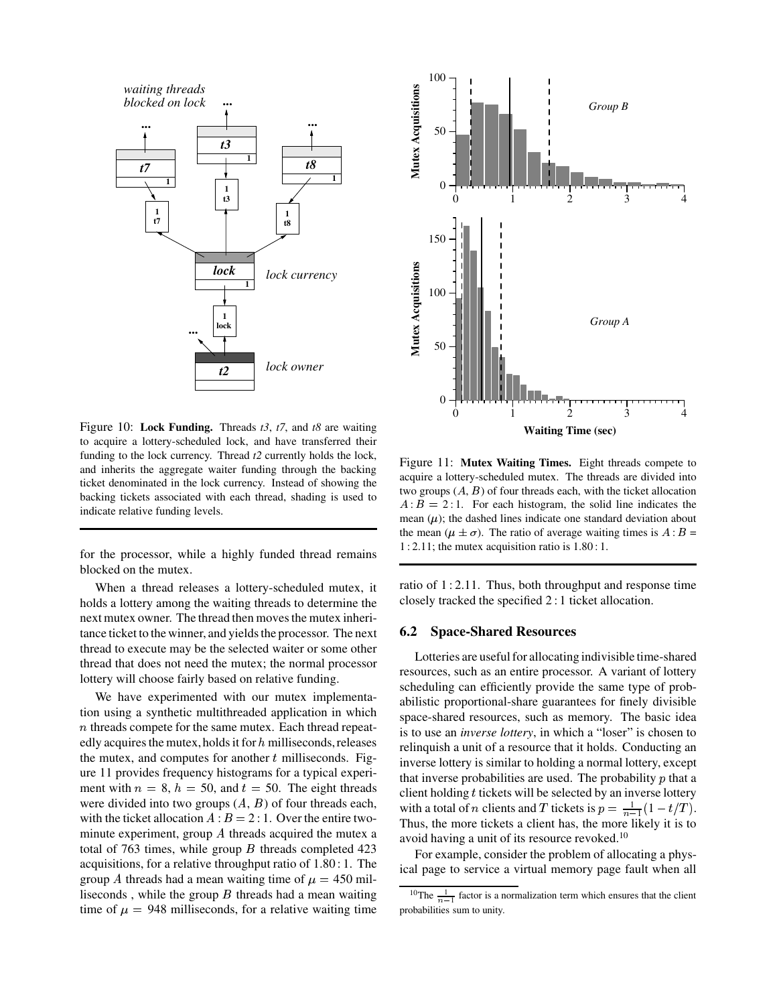

Figure 10: **Lock Funding.** Threads *t3*, *t7*, and *t8* are waiting to acquire a lottery-scheduled lock, and have transferred their funding to the lock currency. Thread *t2* currently holds the lock, and inherits the aggregate waiter funding through the backing ticket denominated in the lock currency. Instead of showing the backing tickets associated with each thread, shading is used to indicate relative funding levels.

for the processor, while a highly funded thread remains blocked on the mutex.

When a thread releases a lottery-scheduled mutex, it holds a lottery among the waiting threads to determine the next mutex owner. The thread then moves the mutex inheritance ticket to the winner, and yields the processor. The next thread to execute may be the selected waiter or some other thread that does not need the mutex; the normal processor lottery will choose fairly based on relative funding.

We have experimented with our mutex implementation using a synthetic multithreaded application in which n threads compete for the same mutex. Each thread repeatedly acquires the mutex, holds it for  $h$  milliseconds, releases the mutex, and computes for another  $t$  milliseconds. Figure 11 provides frequency histograms for a typical experiment with  $n = 8$ ,  $h = 50$ , and  $t = 50$ . The eight threads were divided into two groups  $(A, B)$  of four threads each, with the ticket allocation  $A : B = 2 : 1$ . Over the entire twominute experiment, group A threads acquired the mutex a total of 763 times, while group  $B$  threads completed 423 acquisitions, for a relative throughput ratio of 1.80 : 1. The group A threads had a mean waiting time of  $\mu = 450$  milliseconds, while the group  $B$  threads had a mean waiting time of  $\mu = 948$  milliseconds, for a relative waiting time



Figure 11: **Mutex Waiting Times.** Eight threads compete to acquire a lottery-scheduled mutex. The threads are divided into two groups  $(A, B)$  of four threads each, with the ticket allocation  $A : B = 2 : 1$ . For each histogram, the solid line indicates the mean  $(\mu)$ ; the dashed lines indicate one standard deviation about the mean ( $\mu \pm \sigma$ ). The ratio of average waiting times is  $A : B =$ 1 : 2.11; the mutex acquisition ratio is 1.80 : 1.

ratio of 1 : 2.11. Thus, both throughput and response time closely tracked the specified 2 : 1 ticket allocation.

#### **6.2 Space-Shared Resources**

Lotteries are useful for allocating indivisible time-shared resources, such as an entire processor. A variant of lottery scheduling can efficiently provide the same type of probabilistic proportional-share guarantees for finely divisible space-shared resources, such as memory. The basic idea is to use an *inverse lottery*, in which a "loser" is chosen to relinquish a unit of a resource that it holds. Conducting an inverse lottery is similar to holding a normal lottery, except that inverse probabilities are used. The probability  $p$  that a client holding  $t$  tickets will be selected by an inverse lottery with a total of *n* clients and *T* tickets is  $p = \frac{1}{n-1} (1 - t/T)$ . Thus, the more tickets a client has, the more likely it is to avoid having a unit of its resource revoked.<sup>10</sup>

For example, consider the problem of allocating a physical page to service a virtual memory page fault when all

<sup>&</sup>lt;sup>10</sup>The  $\frac{1}{n-1}$  factor is a normalization term which ensures that the client probabilities sum to unity.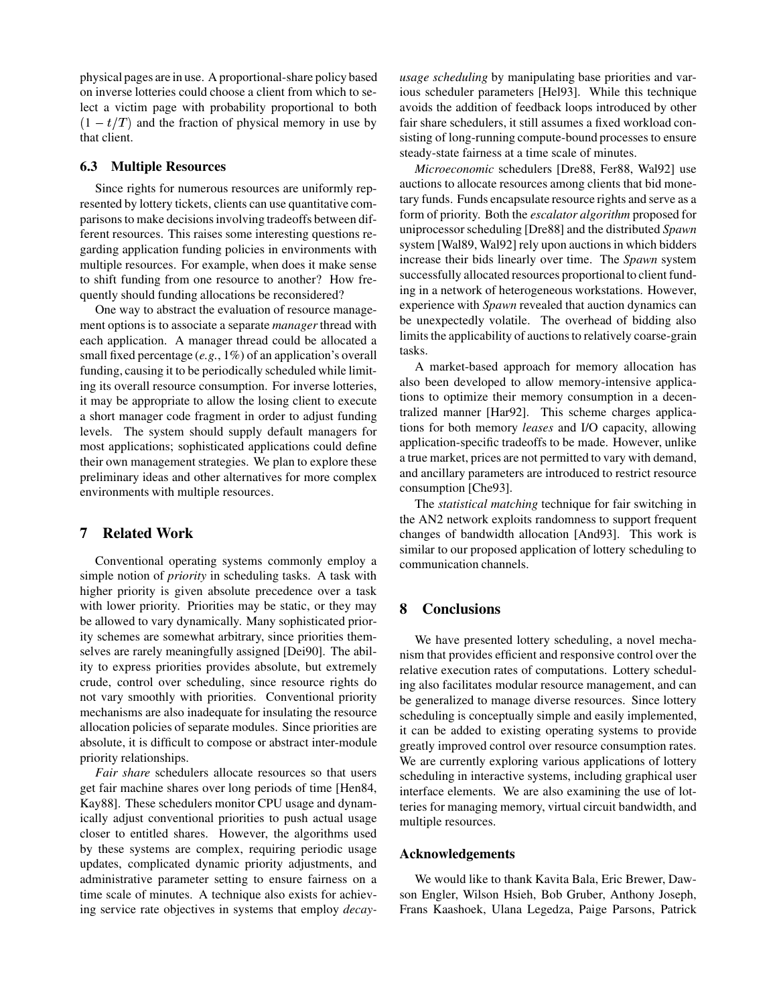physical pages are in use. A proportional-share policy based on inverse lotteries could choose a client from which to select a victim page with probability proportional to both  $(1 - t/T)$  and the fraction of physical memory in use by that client.

#### **6.3 Multiple Resources**

Since rights for numerous resources are uniformly represented by lottery tickets, clients can use quantitative comparisons to make decisions involving tradeoffs between different resources. This raises some interesting questions regarding application funding policies in environments with multiple resources. For example, when does it make sense to shift funding from one resource to another? How frequently should funding allocations be reconsidered?

One way to abstract the evaluation of resource management options is to associate a separate *manager*thread with each application. A manager thread could be allocated a small fixed percentage (*e.g.*, 1%) of an application's overall funding, causing it to be periodically scheduled while limiting its overall resource consumption. For inverse lotteries, it may be appropriate to allow the losing client to execute a short manager code fragment in order to adjust funding levels. The system should supply default managers for most applications; sophisticated applications could define their own management strategies. We plan to explore these preliminary ideas and other alternatives for more complex environments with multiple resources.

# **7 Related Work**

Conventional operating systems commonly employ a simple notion of *priority* in scheduling tasks. A task with higher priority is given absolute precedence over a task with lower priority. Priorities may be static, or they may be allowed to vary dynamically. Many sophisticated priority schemes are somewhat arbitrary, since priorities themselves are rarely meaningfully assigned [Dei90]. The ability to express priorities provides absolute, but extremely crude, control over scheduling, since resource rights do not vary smoothly with priorities. Conventional priority mechanisms are also inadequate for insulating the resource allocation policies of separate modules. Since priorities are absolute, it is difficult to compose or abstract inter-module priority relationships.

*Fair share* schedulers allocate resources so that users get fair machine shares over long periods of time [Hen84, Kay88]. These schedulers monitor CPU usage and dynamically adjust conventional priorities to push actual usage closer to entitled shares. However, the algorithms used by these systems are complex, requiring periodic usage updates, complicated dynamic priority adjustments, and administrative parameter setting to ensure fairness on a time scale of minutes. A technique also exists for achieving service rate objectives in systems that employ *decay-* *usage scheduling* by manipulating base priorities and various scheduler parameters [Hel93]. While this technique avoids the addition of feedback loops introduced by other fair share schedulers, it still assumes a fixed workload consisting of long-running compute-bound processes to ensure steady-state fairness at a time scale of minutes.

*Microeconomic* schedulers [Dre88, Fer88, Wal92] use auctions to allocate resources among clients that bid monetary funds. Funds encapsulate resource rights and serve as a form of priority. Both the *escalator algorithm* proposed for uniprocessor scheduling [Dre88] and the distributed *Spawn* system [Wal89, Wal92] rely upon auctions in which bidders increase their bids linearly over time. The *Spawn* system successfully allocated resources proportional to client funding in a network of heterogeneous workstations. However, experience with *Spawn* revealed that auction dynamics can be unexpectedly volatile. The overhead of bidding also limits the applicability of auctions to relatively coarse-grain tasks.

A market-based approach for memory allocation has also been developed to allow memory-intensive applications to optimize their memory consumption in a decentralized manner [Har92]. This scheme charges applications for both memory *leases* and I/O capacity, allowing application-specific tradeoffs to be made. However, unlike a true market, prices are not permitted to vary with demand, and ancillary parameters are introduced to restrict resource consumption [Che93].

The *statistical matching* technique for fair switching in the AN2 network exploits randomness to support frequent changes of bandwidth allocation [And93]. This work is similar to our proposed application of lottery scheduling to communication channels.

# **8 Conclusions**

We have presented lottery scheduling, a novel mechanism that provides efficient and responsive control over the relative execution rates of computations. Lottery scheduling also facilitates modular resource management, and can be generalized to manage diverse resources. Since lottery scheduling is conceptually simple and easily implemented, it can be added to existing operating systems to provide greatly improved control over resource consumption rates. We are currently exploring various applications of lottery scheduling in interactive systems, including graphical user interface elements. We are also examining the use of lotteries for managing memory, virtual circuit bandwidth, and multiple resources.

#### **Acknowledgements**

We would like to thank Kavita Bala, Eric Brewer, Dawson Engler, Wilson Hsieh, Bob Gruber, Anthony Joseph, Frans Kaashoek, Ulana Legedza, Paige Parsons, Patrick